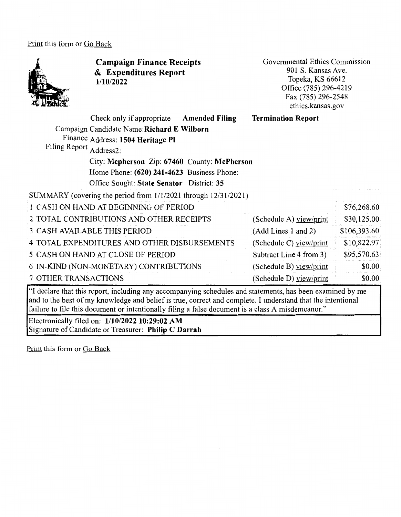Print this form or Go Back



**Campaign Finance Receipts**  & **Expenditures Report 1/10/2022** 

Governmental Ethics Commission 901 S. Kansas Ave. Topeka, KS 66612 Office (785) 296-4219 Fax (785) 296-2548 ethics.kansas.gov

|                         | Check only if appropriate                                      | <b>Amended Filing</b> | <b>Termination Report</b> |              |
|-------------------------|----------------------------------------------------------------|-----------------------|---------------------------|--------------|
|                         | Campaign Candidate Name: Richard E Wilborn                     |                       |                           |              |
|                         | Finance Address: 1504 Heritage Pl                              |                       |                           |              |
| Filing Report Address2: |                                                                |                       |                           |              |
|                         | City: Mcpherson Zip: 67460 County: McPherson                   |                       |                           |              |
|                         | Home Phone: (620) 241-4623 Business Phone:                     |                       |                           |              |
|                         | Office Sought: State Senator District: 35                      |                       |                           |              |
|                         | SUMMARY (covering the period from 1/1/2021 through 12/31/2021) |                       |                           |              |
|                         | 1 CASH ON HAND AT BEGINNING OF PERIOD                          |                       |                           | \$76,268.60  |
|                         | 2 TOTAL CONTRIBUTIONS AND OTHER RECEIPTS                       |                       | (Schedule A) view/print   | \$30,125.00  |
|                         | <b>3 CASH AVAILABLE THIS PERIOD</b>                            |                       | (Add Lines 1 and 2)       | \$106,393.60 |
|                         | 4 TOTAL EXPENDITURES AND OTHER DISBURSEMENTS                   |                       | (Schedule C) view/print   | \$10,822.97  |
|                         | 5 CASH ON HAND AT CLOSE OF PERIOD                              |                       | Subtract Line 4 from 3)   | \$95,570.63  |
|                         | 6 IN-KIND (NON-MONETARY) CONTRIBUTIONS                         |                       | (Schedule B) view/print   | \$0.00       |
| 7 OTHER TRANSACTIONS    |                                                                |                       | (Schedule D) yiew/print   | \$0.00       |

"I declare that this report, including any accompanying schedules and statements, has been examined by me and to the best of my knowledge and belief is true, correct and complete. I understand that the intentional failure to file this document or intentionally filing a false document is a class A misdemeanor."

Electronically filed on: **1/10/2022 10:29:02 AM**  Signature of Candidate or Treasurer: **Philip C Darrah** 

Print this form or Go Back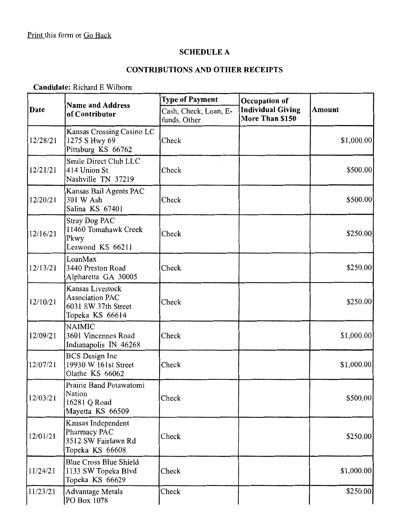# **SCHEDULE A**

# **CONTRIBUTIONS AND OTHER RECEIPTS**

#### **Candidate:** Richard E Wilborn

|          | <b>Name and Address</b>                                                       | <b>Type of Payment</b>                | Occupation of                               |               |
|----------|-------------------------------------------------------------------------------|---------------------------------------|---------------------------------------------|---------------|
| Date     | of Contributor                                                                | Cash, Check, Loan, E-<br>funds, Other | <b>Individual Giving</b><br>More Than \$150 | <b>Amount</b> |
| 12/28/21 | Kansas Crossing Casino LC<br>1275 S Hwy 69<br>Pittsburg KS 66762              | Check                                 |                                             | \$1,000.00    |
| 12/21/21 | Smile Direct Club LLC<br>414 Union St<br>Nashville TN 37219                   | Check                                 |                                             | \$500.00      |
| 12/20/21 | Kansas Bail Agents PAC<br>301 W Ash<br>Salina KS 67401                        | Check                                 |                                             | \$500.00      |
| 12/16/21 | Stray Dog PAC<br>11460 Tomahawk Creek<br>Pkwy<br>Leawood KS 66211             | Check                                 |                                             | \$250.00      |
| 12/13/21 | LoanMax<br>3440 Preston Road<br>Alpharetta GA 30005                           | Check                                 |                                             | \$250.00      |
| 12/10/21 | Kansas Livestock<br>Association PAC<br>6031 SW 37th Street<br>Topeka KS 66614 | Check                                 |                                             | \$250.00      |
| 12/09/21 | <b>NAIMIC</b><br>3601 Vincennes Road<br>Indianapolis IN 46268                 | Check                                 |                                             | \$1,000.00    |
| 12/07/21 | <b>BCS</b> Design Inc<br>19930 W 161st Street<br>Olathe KS 66062              | Check                                 |                                             | \$1,000.00    |
| 12/03/21 | Prairie Band Potawatomi<br>Nation<br>16281 Q Road<br>Mayetta KS 66509         | Check                                 |                                             | \$500.00      |
| 12/01/21 | Kansas Independent<br>Pharmacy PAC<br>3512 SW Fairlawn Rd<br>Topeka KS 66608  | Check                                 |                                             | \$250.00      |
| 11/24/21 | <b>Blue Cross Blue Shield</b><br>1133 SW Topeka Blvd<br>Topeka KS 66629       | Check                                 |                                             | \$1,000.00    |
| 11/23/21 | <b>Advantage Metals</b><br>PO Box 1078                                        | Check                                 |                                             | \$250.00      |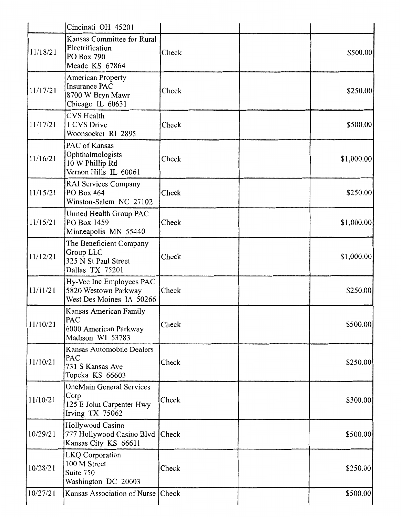|          | Cincinati OH 45201                                                                       |       |            |
|----------|------------------------------------------------------------------------------------------|-------|------------|
| 11/18/21 | Kansas Committee for Rural<br>Electrification<br>PO Box 790<br>Meade KS 67864            | Check | \$500.00   |
| 11/17/21 | <b>American Property</b><br><b>Insurance PAC</b><br>8700 W Bryn Mawr<br>Chicago IL 60631 | Check | \$250.00]  |
| 11/17/21 | <b>CVS</b> Health<br>1 CVS Drive<br>Woonsocket RI 2895                                   | Check | \$500.00   |
| 11/16/21 | PAC of Kansas<br>Ophthalmologists<br>10 W Phillip Rd<br>Vernon Hills IL 60061            | Check | \$1,000.00 |
| 11/15/21 | RAI Services Company<br>PO Box 464<br>Winston-Salem NC 27102                             | Check | \$250.00   |
| 11/15/21 | United Health Group PAC<br>PO Box 1459<br>Minneapolis MN 55440                           | Check | \$1,000.00 |
| 11/12/21 | The Beneficient Company<br>Group LLC<br>325 N St Paul Street<br>Dallas TX 75201          | Check | \$1,000.00 |
| 11/11/21 | Hy-Vee Inc Employees PAC<br>5820 Westown Parkway<br>West Des Moines IA 50266             | Check | \$250.00   |
| 11/10/21 | Kansas American Family<br>PAC<br>6000 American Parkway<br>Madison WI 53783               | Check | \$500.00   |
| 11/10/21 | Kansas Automobile Dealers<br>PAC<br>731 S Kansas Ave<br>Topeka KS 66603                  | Check | \$250.00   |
| 11/10/21 | <b>OneMain General Services</b><br>Corp<br>125 E John Carpenter Hwy<br>Irving TX 75062   | Check | \$300.00   |
| 10/29/21 | Hollywood Casino<br>777 Hollywood Casino Blvd Check<br>Kansas City KS 66611              |       | \$500.00   |
| 10/28/21 | LKQ Corporation<br>100 M Street<br>Suite 750<br>Washington DC 20003                      | Check | \$250.00   |
| 10/27/21 | Kansas Association of Nurse                                                              | Check | \$500.00   |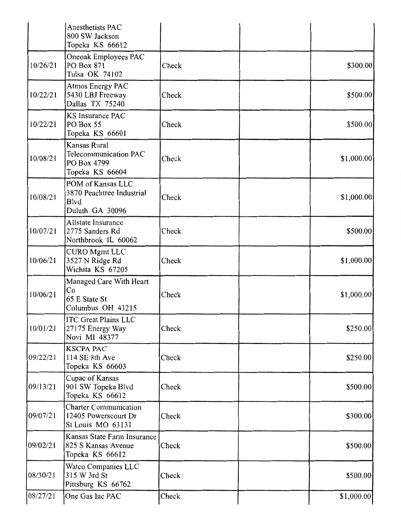| 08/27/21 | One Gas Inc PAC                                                           | Check | \$1,000.00  |
|----------|---------------------------------------------------------------------------|-------|-------------|
| 08/30/21 | Watco Companies LLC<br>315 W 3rd St<br>Pittsburg KS 66762                 | Check | \$500.00    |
| 09/02/21 | Kansas State Farm Insurance<br>825 S Kansas Avenue<br>Topeka KS 66612     | Check | \$500.00    |
| 09/07/21 | <b>Charter Communication</b><br>12405 Powerscourt Dr<br>St Louis MO 63131 | Check | \$300.00    |
| 09/13/21 | Cupac of Kansas<br>901 SW Topeka Blvd<br>Topeka KS 66612                  | Check | \$500.00    |
| 09/22/21 | <b>KSCPA PAC</b><br>114 SE 8th Ave<br>Topeka KS 66603                     | Check | \$250.00    |
| 10/01/21 | <b>ITC Great Plains LLC</b><br>27175 Energy Way<br>Novi MI 48377          | Check | \$250.00    |
| 10/06/21 | Managed Care With Heart<br>Co<br>65 E State St<br>Columbus OH 43215       | Check | \$1,000.00] |
| 10/06/21 | CURO Mgmt LLC<br>3527 N Ridge Rd<br>Wichita KS 67205                      | Check | \$1,000.00  |
| 10/07/21 | Allstate Insurance<br>2775 Sanders Rd<br>Northbrook IL 60062              | Check | \$500.00    |
| 10/08/21 | POM of Kansas LLC<br>3870 Peachtree Industrial<br>Blvd<br>Duluth GA 30096 | Check | \$1,000.00  |
| 10/08/21 | Kansas Rural<br>Telecommunication PAC<br>PO Box 4799<br>Topeka KS 66604   | Check | \$1,000.00  |
| 10/22/21 | <b>KS Insurance PAC</b><br>PO Box 55<br>Topeka KS 66601                   | Check | \$500.00    |
| 10/22/21 | Atmos Energy PAC<br>5430 LBJ Freeway<br>Dallas TX 75240                   | Check | \$500.00    |
| 10/26/21 | Oneoak Employees PAC<br>PO Box 871<br>Tulsa OK 74102                      | Check | \$300.00    |
|          | Anesthetists PAC<br>800 SW Jackson<br>Topeka KS 66612                     |       |             |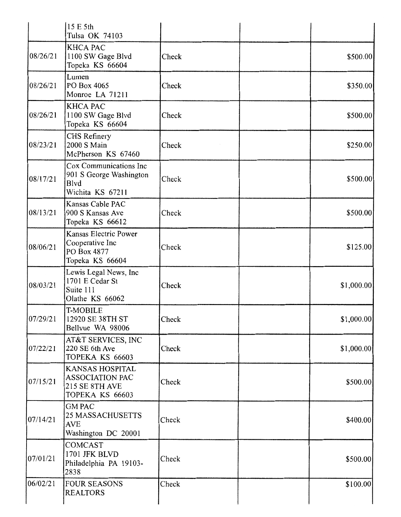|          | 15 E 5th<br>Tulsa OK 74103                                                                   |       |             |
|----------|----------------------------------------------------------------------------------------------|-------|-------------|
| 08/26/21 | <b>KHCA PAC</b><br>1100 SW Gage Blvd<br>Topeka KS 66604                                      | Check | \$500.00    |
| 08/26/21 | Lumen<br>PO Box 4065<br>Monroe LA 71211                                                      | Check | \$350.00    |
| 08/26/21 | <b>KHCA PAC</b><br>1100 SW Gage Blvd<br>Topeka KS 66604                                      | Check | \$500.00    |
| 08/23/21 | CHS Refinery<br>2000 S Main<br>McPherson KS 67460                                            | Check | \$250.00    |
| 08/17/21 | Cox Communications Inc<br>901 S George Washington<br>Blvd<br>Wichita KS 67211                | Check | \$500.00    |
| 08/13/21 | Kansas Cable PAC<br>900 S Kansas Ave<br>Topeka KS 66612                                      | Check | \$500.00    |
| 08/06/21 | Kansas Electric Power<br>Cooperative Inc<br>PO Box 4877<br>Topeka KS 66604                   | Check | \$125.00    |
| 08/03/21 | Lewis Legal News, Inc<br>1701 E Cedar St<br>Suite 111<br>Olathe KS 66062                     | Check | \$1,000.00] |
| 07/29/21 | T-MOBILE<br>12920 SE 38TH ST<br>Bellvue WA 98006                                             | Check | \$1,000.00] |
| 07/22/21 | AT&T SERVICES, INC<br>220 SE 6th Ave<br>TOPEKA KS 66603                                      | Check | \$1,000.00  |
| 07/15/21 | <b>KANSAS HOSPITAL</b><br><b>ASSOCIATION PAC</b><br><b>215 SE 8TH AVE</b><br>TOPEKA KS 66603 | Check | \$500.00    |
| 07/14/21 | <b>GM PAC</b><br><b>25 MASSACHUSETTS</b><br><b>AVE</b><br>Washington DC 20001                | Check | \$400.00]   |
| 07/01/21 | <b>COMCAST</b><br>1701 JFK BLVD<br>Philadelphia PA 19103-<br>2838                            | Check | \$500.00    |
| 06/02/21 | <b>FOUR SEASONS</b><br><b>REALTORS</b>                                                       | Check | \$100.00    |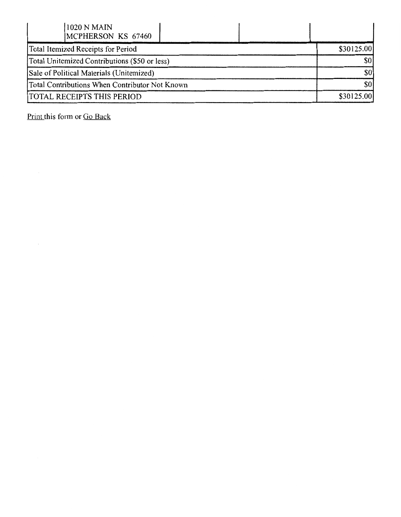| 1020 N MAIN<br>MCPHERSON KS 67460              |            |
|------------------------------------------------|------------|
| Total Itemized Receipts for Period             | \$30125.00 |
| Total Unitemized Contributions (\$50 or less)  | \$0        |
| Sale of Political Materials (Unitemized)       | \$0        |
| Total Contributions When Contributor Not Known | \$0        |
| <b>TOTAL RECEIPTS THIS PERIOD</b>              | \$30125.00 |

Print this form or Go Back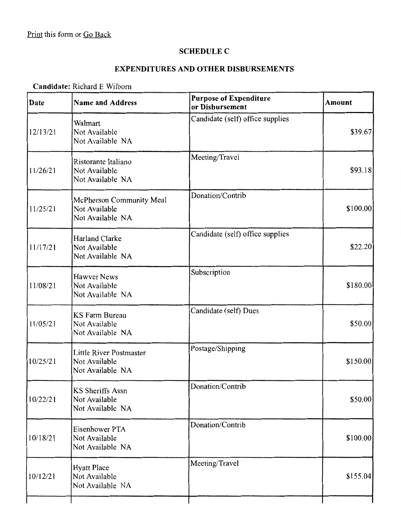## **SCHEDULE C**

## **EXPENDITURES AND OTHER DISBURSEMENTS**

#### **Candidate:** Richard E Wilborn

| Date     | <b>Name and Address</b>                                       | <b>Purpose of Expenditure</b><br>or Disbursement | Amount    |
|----------|---------------------------------------------------------------|--------------------------------------------------|-----------|
| 12/13/21 | Walmart<br>Not Available<br>Not Available NA                  | Candidate (self) office supplies                 | \$39.67]  |
| 11/26/21 | Ristorante Italiano<br>Not Available<br>Not Available NA      | Meeting/Travel                                   | \$93.18]  |
| 11/25/21 | McPherson Community Meal<br>Not Available<br>Not Available NA | Donation/Contrib                                 | \$100.00] |
| 11/17/21 | <b>Harland Clarke</b><br>Not Available<br>Not Available NA    | Candidate (self) office supplies                 | \$22.20]  |
| 11/08/21 | <b>Hawver News</b><br>Not Available<br>Not Available NA       | Subscription                                     | \$180.00  |
| 11/05/21 | <b>KS Farm Bureau</b><br>Not Available<br>Not Available NA    | Candidate (self) Dues                            | \$50.00   |
| 10/25/21 | Little River Postmaster<br>Not Available<br>Not Available NA  | Postage/Shipping                                 | \$150.00  |
| 10/22/21 | KS Sheriffs Assn<br>Not Available<br>Not Available NA         | Donation/Contrib                                 | \$50.00   |
| 10/18/21 | Eisenhower PTA<br>Not Available<br>Not Available NA           | Donation/Contrib                                 | \$100.00] |
| 10/12/21 | <b>Hyatt Place</b><br>Not Available<br>Not Available NA       | Meeting/Travel                                   | \$155.04  |
|          |                                                               |                                                  |           |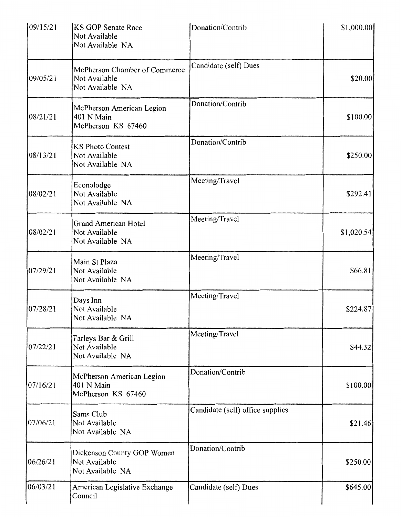| 109/15/21          | <b>KS GOP Senate Race</b><br>Not Available<br>Not Available NA     | Donation/Contrib                 | \$1,000.00] |
|--------------------|--------------------------------------------------------------------|----------------------------------|-------------|
| 09/05/21           | McPherson Chamber of Commerce<br>Not Available<br>Not Available NA | Candidate (self) Dues            | \$20.00]    |
| 08/21/21           | McPherson American Legion<br>401 N Main<br>McPherson KS 67460      | Donation/Contrib                 | \$100.00    |
| 08/13/21           | <b>KS Photo Contest</b><br>Not Available<br>Not Available NA       | Donation/Contrib                 | \$250.00    |
| $\sim$<br>08/02/21 | Econolodge<br>Not Available<br>Not Available NA                    | Meeting/Travel                   | \$292.41    |
| 08/02/21           | <b>Grand American Hotel</b><br>Not Available<br>Not Available NA   | Meeting/Travel                   | \$1,020.54] |
| 07/29/21           | Main St Plaza<br>Not Available<br>Not Available NA                 | Meeting/Travel                   | \$66.81     |
| 07/28/21           | Days Inn<br>Not Available<br>Not Available NA                      | Meeting/Travel                   | \$224.87    |
| 07/22/21           | Farleys Bar & Grill<br>Not Available<br>Not Available NA           | Meeting/Travel                   | \$44.32     |
| 07/16/21           | McPherson American Legion<br>401 N Main<br>McPherson KS 67460      | Donation/Contrib                 | \$100.00    |
| 07/06/21           | Sams Club<br>Not Available<br>Not Available NA                     | Candidate (self) office supplies | \$21.46     |
| 06/26/21           | Dickenson County GOP Women<br>Not Available<br>Not Available NA    | Donation/Contrib                 | \$250.00    |
| 06/03/21           | American Legislative Exchange<br>Council                           | Candidate (self) Dues            | \$645.00    |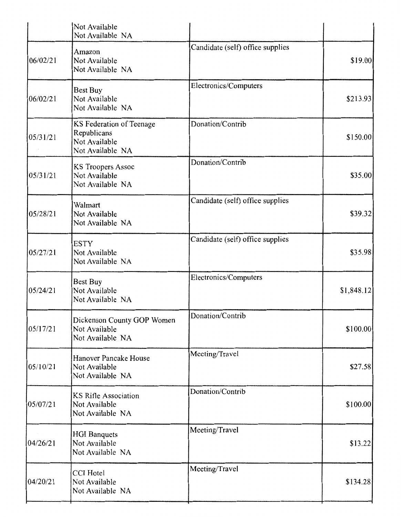|          | Not Available<br>Not Available NA                                            |                                  |            |
|----------|------------------------------------------------------------------------------|----------------------------------|------------|
| 06/02/21 | Amazon<br>Not Available<br>Not Available NA                                  | Candidate (self) office supplies | \$19.00    |
| 06/02/21 | <b>Best Buy</b><br>Not Available<br>Not Available NA                         | Electronics/Computers            | \$213.93   |
| 05/31/21 | KS Federation of Teenage<br>Republicans<br>Not Available<br>Not Available NA | Donation/Contrib                 | \$150.00]  |
| 05/31/21 | KS Troopers Assoc<br>Not Available<br>Not Available NA                       | Donation/Contrib                 | \$35.00    |
| 05/28/21 | Walmart<br>Not Available<br>Not Available NA                                 | Candidate (self) office supplies | \$39.32]   |
| 05/27/21 | <b>ESTY</b><br>Not Available<br>Not Available NA                             | Candidate (self) office supplies | \$35.98    |
| 05/24/21 | Best Buy<br>Not Available<br>Not Available NA                                | Electronics/Computers            | \$1,848.12 |
| 05/17/21 | Dickenson County GOP Women<br>Not Available<br>Not Available NA              | Donation/Contrib                 | \$100.00]  |
| 05/10/21 | Hanover Pancake House<br>Not Available<br>Not Available NA                   | Meeting/Travel                   | \$27.58    |
| 05/07/21 | KS Rifle Association<br>Not Available<br>Not Available NA                    | Donation/Contrib                 | \$100.00   |
| 04/26/21 | <b>HGI</b> Banquets<br>Not Available<br>Not Available NA                     | Meeting/Travel                   | \$13.22    |
| 04/20/21 | <b>CCI</b> Hotel<br>Not Available<br>Not Available NA                        | Meeting/Travel                   | \$134.28   |
|          |                                                                              |                                  |            |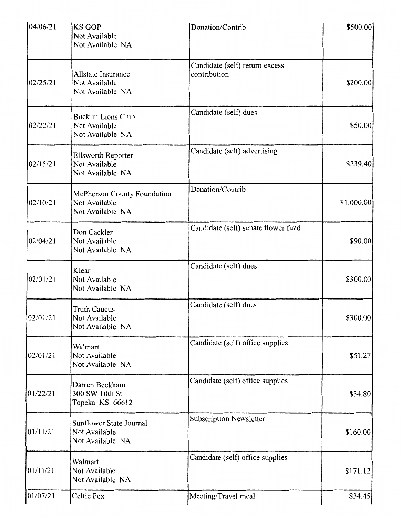| 04/06/21 | KS GOP<br>Not Available<br>Not Available NA                      | Donation/Contrib                               | \$500.00   |
|----------|------------------------------------------------------------------|------------------------------------------------|------------|
| 02/25/21 | Allstate Insurance<br>Not Available<br>Not Available NA          | Candidate (self) return excess<br>contribution | \$200.00   |
| 02/22/21 | <b>Bucklin Lions Club</b><br>Not Available<br>Not Available NA   | Candidate (self) dues                          | \$50.00    |
| 02/15/21 | <b>Ellsworth Reporter</b><br>Not Available<br>Not Available NA   | Candidate (self) advertising                   | \$239.40   |
| 02/10/21 | McPherson County Foundation<br>Not Available<br>Not Available NA | Donation/Contrib                               | \$1,000.00 |
| 02/04/21 | Don Cackler<br>Not Available<br>Not Available NA                 | Candidate (self) senate flower fund            | \$90.00    |
| 02/01/21 | Klear<br>Not Available<br>Not Available NA                       | Candidate (self) dues                          | \$300.00   |
| 02/01/21 | <b>Truth Caucus</b><br>Not Available<br>Not Available NA         | Candidate (self) dues                          | \$300.00   |
| 02/01/21 | Walmart<br>Not Available<br>Not Available NA                     | Candidate (self) office supplies               | \$51.27    |
| 01/22/21 | Darren Beckham<br>300 SW 10th St<br>Topeka KS 66612              | Candidate (self) office supplies               | \$34.80    |
| 01/11/21 | Sunflower State Journal<br>Not Available<br>Not Available NA     | <b>Subscription Newsletter</b>                 | \$160.00]  |
| 01/11/21 | Walmart<br>Not Available<br>Not Available NA                     | Candidate (self) office supplies               | \$171.12   |
| 01/07/21 | Celtic Fox                                                       | Meeting/Travel meal                            | \$34.45    |